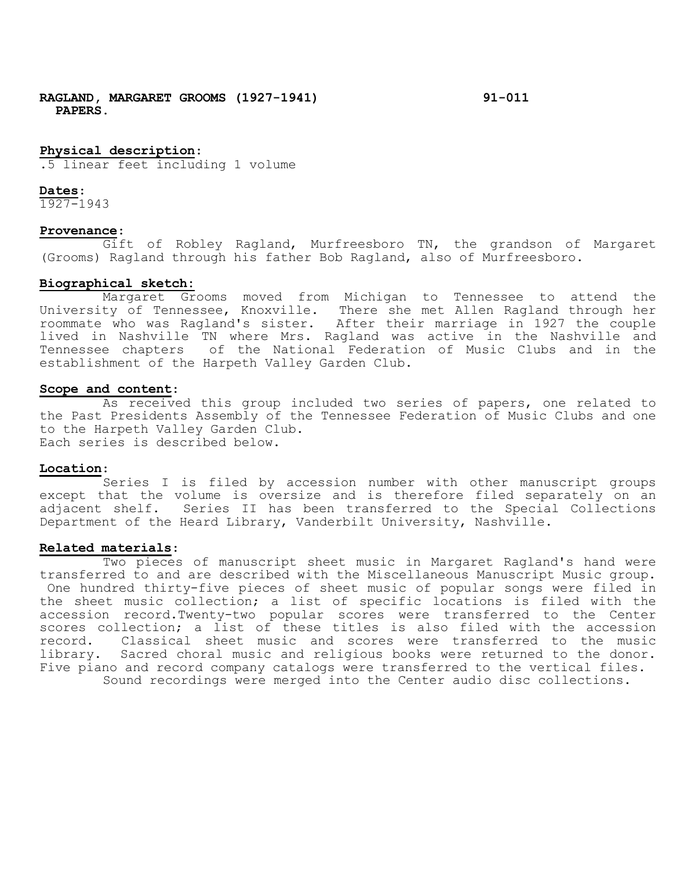# **Physical description**:

.5 linear feet including 1 volume

#### **Dates**:

1927-1943

#### **Provenance**:

Gift of Robley Ragland, Murfreesboro TN, the grandson of Margaret (Grooms) Ragland through his father Bob Ragland, also of Murfreesboro.

## **Biographical sketch:**

Margaret Grooms moved from Michigan to Tennessee to attend the University of Tennessee, Knoxville. There she met Allen Ragland through her roommate who was Ragland's sister. After their marriage in 1927 the couple lived in Nashville TN where Mrs. Ragland was active in the Nashville and Tennessee chapters of the National Federation of Music Clubs and in the establishment of the Harpeth Valley Garden Club.

## **Scope and content**:

As received this group included two series of papers, one related to the Past Presidents Assembly of the Tennessee Federation of Music Clubs and one to the Harpeth Valley Garden Club. Each series is described below.

## **Location**:

Series I is filed by accession number with other manuscript groups except that the volume is oversize and is therefore filed separately on an adjacent shelf. Series II has been transferred to the Special Collections Department of the Heard Library, Vanderbilt University, Nashville.

## **Related materials**:

Two pieces of manuscript sheet music in Margaret Ragland's hand were transferred to and are described with the Miscellaneous Manuscript Music group. One hundred thirty-five pieces of sheet music of popular songs were filed in the sheet music collection; a list of specific locations is filed with the accession record.Twenty-two popular scores were transferred to the Center scores collection; a list of these titles is also filed with the accession<br>record. Classical sheet music and scores were transferred to the music Classical sheet music and scores were transferred to the music library. Sacred choral music and religious books were returned to the donor. Five piano and record company catalogs were transferred to the vertical files. Sound recordings were merged into the Center audio disc collections.